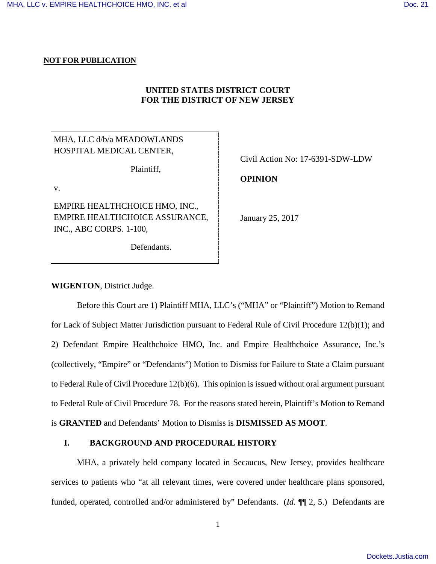## **NOT FOR PUBLICATION**

# **UNITED STATES DISTRICT COURT FOR THE DISTRICT OF NEW JERSEY**

MHA, LLC d/b/a MEADOWLANDS HOSPITAL MEDICAL CENTER,

Plaintiff,

v.

EMPIRE HEALTHCHOICE HMO, INC., EMPIRE HEALTHCHOICE ASSURANCE, INC., ABC CORPS. 1-100,

Defendants.

Civil Action No: 17-6391-SDW-LDW

**OPINION**

January 25, 2017

**WIGENTON**, District Judge.

Before this Court are 1) Plaintiff MHA, LLC's ("MHA" or "Plaintiff") Motion to Remand for Lack of Subject Matter Jurisdiction pursuant to Federal Rule of Civil Procedure 12(b)(1); and 2) Defendant Empire Healthchoice HMO, Inc. and Empire Healthchoice Assurance, Inc.'s (collectively, "Empire" or "Defendants") Motion to Dismiss for Failure to State a Claim pursuant to Federal Rule of Civil Procedure 12(b)(6). This opinion is issued without oral argument pursuant to Federal Rule of Civil Procedure 78. For the reasons stated herein, Plaintiff's Motion to Remand is **GRANTED** and Defendants' Motion to Dismiss is **DISMISSED AS MOOT**.

# **I. BACKGROUND AND PROCEDURAL HISTORY**

MHA, a privately held company located in Secaucus, New Jersey, provides healthcare services to patients who "at all relevant times, were covered under healthcare plans sponsored, funded, operated, controlled and/or administered by" Defendants. (*Id.* ¶¶ 2, 5.) Defendants are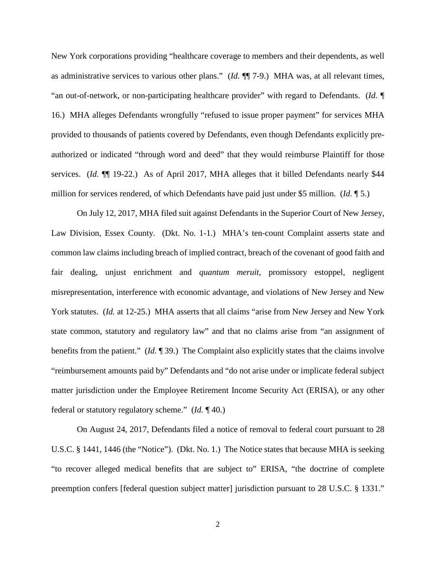New York corporations providing "healthcare coverage to members and their dependents, as well as administrative services to various other plans." (*Id.* ¶¶ 7-9.) MHA was, at all relevant times, "an out-of-network, or non-participating healthcare provider" with regard to Defendants. (*Id.* ¶ 16.) MHA alleges Defendants wrongfully "refused to issue proper payment" for services MHA provided to thousands of patients covered by Defendants, even though Defendants explicitly preauthorized or indicated "through word and deed" that they would reimburse Plaintiff for those services. (*Id.*  $\P$  19-22.) As of April 2017, MHA alleges that it billed Defendants nearly \$44 million for services rendered, of which Defendants have paid just under \$5 million. (*Id.* ¶ 5.)

On July 12, 2017, MHA filed suit against Defendants in the Superior Court of New Jersey, Law Division, Essex County. (Dkt. No. 1-1.) MHA's ten-count Complaint asserts state and common law claims including breach of implied contract, breach of the covenant of good faith and fair dealing, unjust enrichment and *quantum meruit*, promissory estoppel, negligent misrepresentation, interference with economic advantage, and violations of New Jersey and New York statutes. (*Id.* at 12-25.) MHA asserts that all claims "arise from New Jersey and New York state common, statutory and regulatory law" and that no claims arise from "an assignment of benefits from the patient." (*Id*. ¶ 39.) The Complaint also explicitly states that the claims involve "reimbursement amounts paid by" Defendants and "do not arise under or implicate federal subject matter jurisdiction under the Employee Retirement Income Security Act (ERISA), or any other federal or statutory regulatory scheme." (*Id.* ¶ 40.)

On August 24, 2017, Defendants filed a notice of removal to federal court pursuant to 28 U.S.C. § 1441, 1446 (the "Notice"). (Dkt. No. 1.) The Notice states that because MHA is seeking "to recover alleged medical benefits that are subject to" ERISA, "the doctrine of complete preemption confers [federal question subject matter] jurisdiction pursuant to 28 U.S.C. § 1331."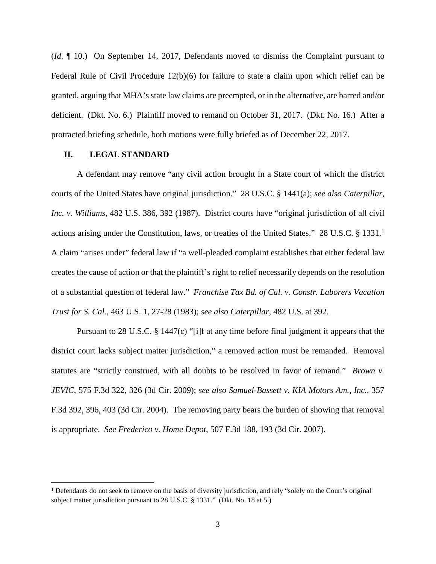(*Id*. ¶ 10.) On September 14, 2017, Defendants moved to dismiss the Complaint pursuant to Federal Rule of Civil Procedure 12(b)(6) for failure to state a claim upon which relief can be granted, arguing that MHA's state law claims are preempted, or in the alternative, are barred and/or deficient. (Dkt. No. 6.) Plaintiff moved to remand on October 31, 2017. (Dkt. No. 16.) After a protracted briefing schedule, both motions were fully briefed as of December 22, 2017.

## **II. LEGAL STANDARD**

 $\overline{a}$ 

A defendant may remove "any civil action brought in a State court of which the district courts of the United States have original jurisdiction." 28 U.S.C. § 1441(a); *see also Caterpillar, Inc. v. Williams*, 482 U.S. 386, 392 (1987). District courts have "original jurisdiction of all civil actions arising under the Constitution, laws, or treaties of the United States." 28 U.S.C. § [1](#page-2-0)331.<sup>1</sup> A claim "arises under" federal law if "a well-pleaded complaint establishes that either federal law creates the cause of action or that the plaintiff's right to relief necessarily depends on the resolution of a substantial question of federal law." *Franchise Tax Bd. of Cal. v. Constr. Laborers Vacation Trust for S. Cal.*, 463 U.S. 1, 27-28 (1983); *see also Caterpillar*, 482 U.S. at 392.

Pursuant to 28 U.S.C. § 1447(c) "[i]f at any time before final judgment it appears that the district court lacks subject matter jurisdiction," a removed action must be remanded. Removal statutes are "strictly construed, with all doubts to be resolved in favor of remand." *Brown v. JEVIC*, 575 F.3d 322, 326 (3d Cir. 2009); *see also Samuel-Bassett v. KIA Motors Am., Inc.*, 357 F.3d 392, 396, 403 (3d Cir. 2004). The removing party bears the burden of showing that removal is appropriate. *See Frederico v. Home Depot*, 507 F.3d 188, 193 (3d Cir. 2007).

<span id="page-2-0"></span><sup>&</sup>lt;sup>1</sup> Defendants do not seek to remove on the basis of diversity jurisdiction, and rely "solely on the Court's original subject matter jurisdiction pursuant to 28 U.S.C. § 1331." (Dkt. No. 18 at 5.)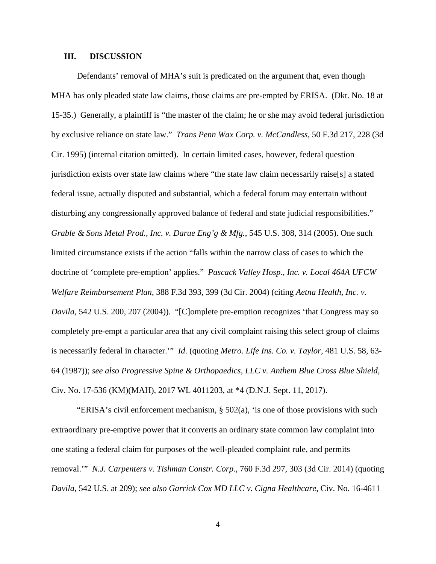## **III. DISCUSSION**

Defendants' removal of MHA's suit is predicated on the argument that, even though MHA has only pleaded state law claims, those claims are pre-empted by ERISA. (Dkt. No. 18 at 15-35.) Generally, a plaintiff is "the master of the claim; he or she may avoid federal jurisdiction by exclusive reliance on state law." *Trans Penn Wax Corp. v. McCandless*, 50 F.3d 217, 228 (3d Cir. 1995) (internal citation omitted). In certain limited cases, however, federal question jurisdiction exists over state law claims where "the state law claim necessarily raise[s] a stated federal issue, actually disputed and substantial, which a federal forum may entertain without disturbing any congressionally approved balance of federal and state judicial responsibilities." *Grable & Sons Metal Prod., Inc. v. Darue Eng'g & Mfg.*, 545 U.S. 308, 314 (2005). One such limited circumstance exists if the action "falls within the narrow class of cases to which the doctrine of 'complete pre-emption' applies." *Pascack Valley Hosp., Inc. v. Local 464A UFCW Welfare Reimbursement Plan*, 388 F.3d 393, 399 (3d Cir. 2004) (citing *Aetna Health, Inc. v. Davila*, 542 U.S. 200, 207 (2004)). "[C]omplete pre-emption recognizes 'that Congress may so completely pre-empt a particular area that any civil complaint raising this select group of claims is necessarily federal in character.'" *Id*. (quoting *Metro. Life Ins. Co. v. Taylor*, 481 U.S. 58, 63- 64 (1987)); *see also Progressive Spine & Orthopaedics, LLC v. Anthem Blue Cross Blue Shield*, Civ. No. 17-536 (KM)(MAH), 2017 WL 4011203, at \*4 (D.N.J. Sept. 11, 2017).

"ERISA's civil enforcement mechanism, § 502(a), 'is one of those provisions with such extraordinary pre-emptive power that it converts an ordinary state common law complaint into one stating a federal claim for purposes of the well-pleaded complaint rule, and permits removal.'" *N.J. Carpenters v. Tishman Constr. Corp.*, 760 F.3d 297, 303 (3d Cir. 2014) (quoting *Davila*, 542 U.S. at 209); *see also Garrick Cox MD LLC v. Cigna Healthcare*, Civ. No. 16-4611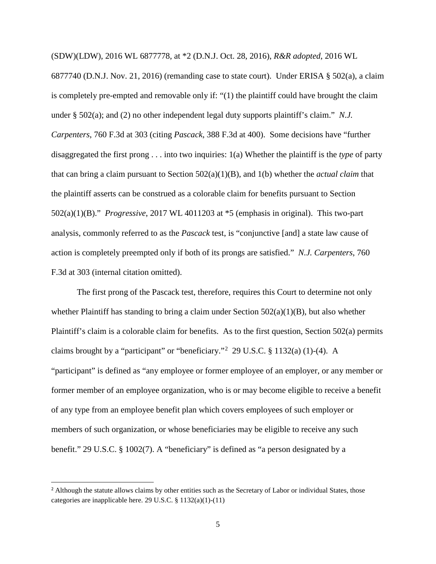(SDW)(LDW), 2016 WL 6877778, at \*2 (D.N.J. Oct. 28, 2016), *R&R adopted*, 2016 WL 6877740 (D.N.J. Nov. 21, 2016) (remanding case to state court). Under ERISA § 502(a), a claim is completely pre-empted and removable only if: "(1) the plaintiff could have brought the claim under § 502(a); and (2) no other independent legal duty supports plaintiff's claim." *N.J. Carpenters*, 760 F.3d at 303 (citing *Pascack*, 388 F.3d at 400). Some decisions have "further disaggregated the first prong . . . into two inquiries: 1(a) Whether the plaintiff is the *type* of party that can bring a claim pursuant to Section 502(a)(1)(B), and 1(b) whether the *actual claim* that the plaintiff asserts can be construed as a colorable claim for benefits pursuant to Section 502(a)(1)(B)." *Progressive*, 2017 WL 4011203 at \*5 (emphasis in original). This two-part analysis, commonly referred to as the *Pascack* test, is "conjunctive [and] a state law cause of action is completely preempted only if both of its prongs are satisfied." *N.J. Carpenters*, 760 F.3d at 303 (internal citation omitted).

The first prong of the Pascack test, therefore, requires this Court to determine not only whether Plaintiff has standing to bring a claim under Section  $502(a)(1)(B)$ , but also whether Plaintiff's claim is a colorable claim for benefits. As to the first question, Section 502(a) permits claims brought by a "participant" or "beneficiary."[2](#page-4-0) 29 U.S.C. § 1132(a) (1)-(4). A "participant" is defined as "any employee or former employee of an employer, or any member or former member of an employee organization, who is or may become eligible to receive a benefit of any type from an employee benefit plan which covers employees of such employer or members of such organization, or whose beneficiaries may be eligible to receive any such benefit." 29 U.S.C. § 1002(7). A "beneficiary" is defined as "a person designated by a

l

<span id="page-4-0"></span><sup>&</sup>lt;sup>2</sup> Although the statute allows claims by other entities such as the Secretary of Labor or individual States, those categories are inapplicable here. 29 U.S.C. § 1132(a)(1)-(11)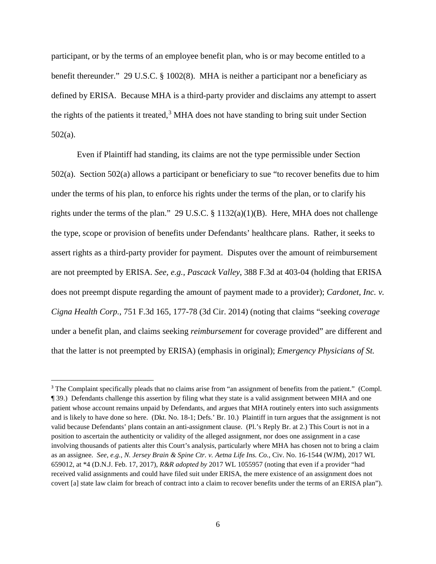participant, or by the terms of an employee benefit plan, who is or may become entitled to a benefit thereunder." 29 U.S.C. § 1002(8). MHA is neither a participant nor a beneficiary as defined by ERISA. Because MHA is a third-party provider and disclaims any attempt to assert the rights of the patients it treated,  $3$  MHA does not have standing to bring suit under Section 502(a).

Even if Plaintiff had standing, its claims are not the type permissible under Section 502(a). Section 502(a) allows a participant or beneficiary to sue "to recover benefits due to him under the terms of his plan, to enforce his rights under the terms of the plan, or to clarify his rights under the terms of the plan." 29 U.S.C. § 1132(a)(1)(B). Here, MHA does not challenge the type, scope or provision of benefits under Defendants' healthcare plans. Rather, it seeks to assert rights as a third-party provider for payment. Disputes over the amount of reimbursement are not preempted by ERISA. *See, e.g., Pascack Valley*, 388 F.3d at 403-04 (holding that ERISA does not preempt dispute regarding the amount of payment made to a provider); *Cardonet, Inc. v. Cigna Health Corp.*, 751 F.3d 165, 177-78 (3d Cir. 2014) (noting that claims "seeking *coverage* under a benefit plan, and claims seeking *reimbursement* for coverage provided" are different and that the latter is not preempted by ERISA) (emphasis in original); *Emergency Physicians of St.* 

 $\overline{a}$ 

<span id="page-5-0"></span><sup>&</sup>lt;sup>3</sup> The Complaint specifically pleads that no claims arise from "an assignment of benefits from the patient." (Compl. ¶ 39.) Defendants challenge this assertion by filing what they state is a valid assignment between MHA and one patient whose account remains unpaid by Defendants, and argues that MHA routinely enters into such assignments and is likely to have done so here. (Dkt. No. 18-1; Defs.' Br. 10.) Plaintiff in turn argues that the assignment is not valid because Defendants' plans contain an anti-assignment clause. (Pl.'s Reply Br. at 2.) This Court is not in a position to ascertain the authenticity or validity of the alleged assignment, nor does one assignment in a case involving thousands of patients alter this Court's analysis, particularly where MHA has chosen not to bring a claim as an assignee. *See, e.g.*, *N. Jersey Brain & Spine Ctr. v. Aetna Life Ins. Co.*, Civ. No. 16-1544 (WJM), 2017 WL 659012, at \*4 (D.N.J. Feb. 17, 2017), *R&R adopted by* 2017 WL 1055957 (noting that even if a provider "had received valid assignments and could have filed suit under ERISA, the mere existence of an assignment does not covert [a] state law claim for breach of contract into a claim to recover benefits under the terms of an ERISA plan").